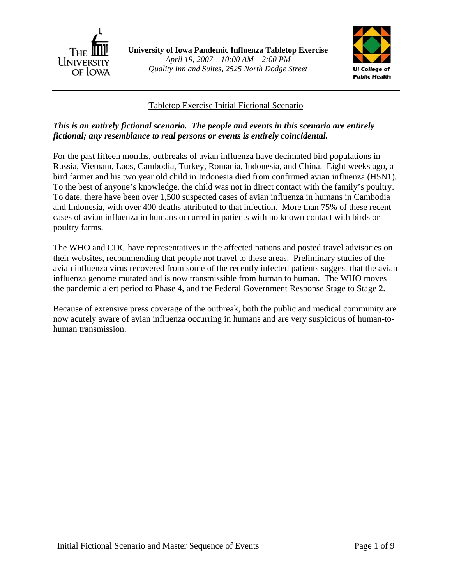



### Tabletop Exercise Initial Fictional Scenario

### *This is an entirely fictional scenario. The people and events in this scenario are entirely fictional; any resemblance to real persons or events is entirely coincidental.*

For the past fifteen months, outbreaks of avian influenza have decimated bird populations in Russia, Vietnam, Laos, Cambodia, Turkey, Romania, Indonesia, and China. Eight weeks ago, a bird farmer and his two year old child in Indonesia died from confirmed avian influenza (H5N1). To the best of anyone's knowledge, the child was not in direct contact with the family's poultry. To date, there have been over 1,500 suspected cases of avian influenza in humans in Cambodia and Indonesia, with over 400 deaths attributed to that infection. More than 75% of these recent cases of avian influenza in humans occurred in patients with no known contact with birds or poultry farms.

The WHO and CDC have representatives in the affected nations and posted travel advisories on their websites, recommending that people not travel to these areas. Preliminary studies of the avian influenza virus recovered from some of the recently infected patients suggest that the avian influenza genome mutated and is now transmissible from human to human. The WHO moves the pandemic alert period to Phase 4, and the Federal Government Response Stage to Stage 2.

Because of extensive press coverage of the outbreak, both the public and medical community are now acutely aware of avian influenza occurring in humans and are very suspicious of human-tohuman transmission.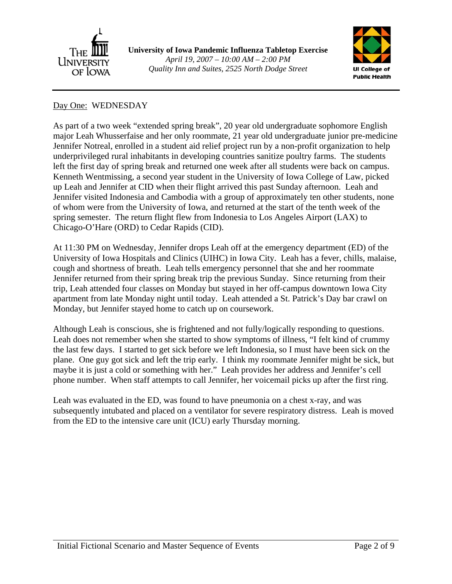

**University of Iowa Pandemic Influenza Tabletop Exercise**  *April 19, 2007 – 10:00 AM – 2:00 PM Quality Inn and Suites, 2525 North Dodge Street*



#### Day One: WEDNESDAY

As part of a two week "extended spring break", 20 year old undergraduate sophomore English major Leah Whusserfaise and her only roommate, 21 year old undergraduate junior pre-medicine Jennifer Notreal, enrolled in a student aid relief project run by a non-profit organization to help underprivileged rural inhabitants in developing countries sanitize poultry farms. The students left the first day of spring break and returned one week after all students were back on campus. Kenneth Wentmissing, a second year student in the University of Iowa College of Law, picked up Leah and Jennifer at CID when their flight arrived this past Sunday afternoon. Leah and Jennifer visited Indonesia and Cambodia with a group of approximately ten other students, none of whom were from the University of Iowa, and returned at the start of the tenth week of the spring semester. The return flight flew from Indonesia to Los Angeles Airport (LAX) to Chicago-O'Hare (ORD) to Cedar Rapids (CID).

At 11:30 PM on Wednesday, Jennifer drops Leah off at the emergency department (ED) of the University of Iowa Hospitals and Clinics (UIHC) in Iowa City. Leah has a fever, chills, malaise, cough and shortness of breath. Leah tells emergency personnel that she and her roommate Jennifer returned from their spring break trip the previous Sunday. Since returning from their trip, Leah attended four classes on Monday but stayed in her off-campus downtown Iowa City apartment from late Monday night until today. Leah attended a St. Patrick's Day bar crawl on Monday, but Jennifer stayed home to catch up on coursework.

Although Leah is conscious, she is frightened and not fully/logically responding to questions. Leah does not remember when she started to show symptoms of illness, "I felt kind of crummy the last few days. I started to get sick before we left Indonesia, so I must have been sick on the plane. One guy got sick and left the trip early. I think my roommate Jennifer might be sick, but maybe it is just a cold or something with her." Leah provides her address and Jennifer's cell phone number. When staff attempts to call Jennifer, her voicemail picks up after the first ring.

Leah was evaluated in the ED, was found to have pneumonia on a chest x-ray, and was subsequently intubated and placed on a ventilator for severe respiratory distress. Leah is moved from the ED to the intensive care unit (ICU) early Thursday morning.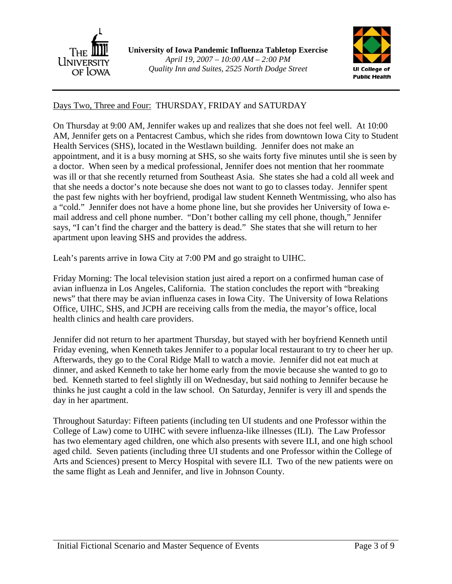



# Days Two, Three and Four: THURSDAY, FRIDAY and SATURDAY

On Thursday at 9:00 AM, Jennifer wakes up and realizes that she does not feel well. At 10:00 AM, Jennifer gets on a Pentacrest Cambus, which she rides from downtown Iowa City to Student Health Services (SHS), located in the Westlawn building. Jennifer does not make an appointment, and it is a busy morning at SHS, so she waits forty five minutes until she is seen by a doctor. When seen by a medical professional, Jennifer does not mention that her roommate was ill or that she recently returned from Southeast Asia. She states she had a cold all week and that she needs a doctor's note because she does not want to go to classes today. Jennifer spent the past few nights with her boyfriend, prodigal law student Kenneth Wentmissing, who also has a "cold." Jennifer does not have a home phone line, but she provides her University of Iowa email address and cell phone number. "Don't bother calling my cell phone, though," Jennifer says, "I can't find the charger and the battery is dead." She states that she will return to her apartment upon leaving SHS and provides the address.

Leah's parents arrive in Iowa City at 7:00 PM and go straight to UIHC.

Friday Morning: The local television station just aired a report on a confirmed human case of avian influenza in Los Angeles, California. The station concludes the report with "breaking news" that there may be avian influenza cases in Iowa City. The University of Iowa Relations Office, UIHC, SHS, and JCPH are receiving calls from the media, the mayor's office, local health clinics and health care providers.

Jennifer did not return to her apartment Thursday, but stayed with her boyfriend Kenneth until Friday evening, when Kenneth takes Jennifer to a popular local restaurant to try to cheer her up. Afterwards, they go to the Coral Ridge Mall to watch a movie. Jennifer did not eat much at dinner, and asked Kenneth to take her home early from the movie because she wanted to go to bed. Kenneth started to feel slightly ill on Wednesday, but said nothing to Jennifer because he thinks he just caught a cold in the law school. On Saturday, Jennifer is very ill and spends the day in her apartment.

Throughout Saturday: Fifteen patients (including ten UI students and one Professor within the College of Law) come to UIHC with severe influenza-like illnesses (ILI). The Law Professor has two elementary aged children, one which also presents with severe ILI, and one high school aged child. Seven patients (including three UI students and one Professor within the College of Arts and Sciences) present to Mercy Hospital with severe ILI. Two of the new patients were on the same flight as Leah and Jennifer, and live in Johnson County.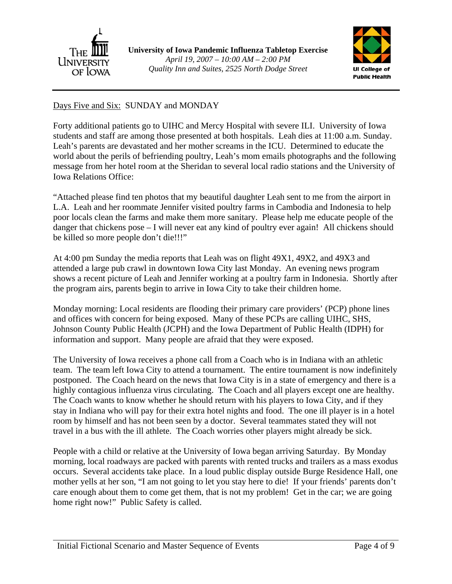



# Days Five and Six: SUNDAY and MONDAY

Forty additional patients go to UIHC and Mercy Hospital with severe ILI. University of Iowa students and staff are among those presented at both hospitals. Leah dies at 11:00 a.m. Sunday. Leah's parents are devastated and her mother screams in the ICU. Determined to educate the world about the perils of befriending poultry, Leah's mom emails photographs and the following message from her hotel room at the Sheridan to several local radio stations and the University of Iowa Relations Office:

"Attached please find ten photos that my beautiful daughter Leah sent to me from the airport in L.A. Leah and her roommate Jennifer visited poultry farms in Cambodia and Indonesia to help poor locals clean the farms and make them more sanitary. Please help me educate people of the danger that chickens pose – I will never eat any kind of poultry ever again! All chickens should be killed so more people don't die!!!"

At 4:00 pm Sunday the media reports that Leah was on flight 49X1, 49X2, and 49X3 and attended a large pub crawl in downtown Iowa City last Monday. An evening news program shows a recent picture of Leah and Jennifer working at a poultry farm in Indonesia. Shortly after the program airs, parents begin to arrive in Iowa City to take their children home.

Monday morning: Local residents are flooding their primary care providers' (PCP) phone lines and offices with concern for being exposed. Many of these PCPs are calling UIHC, SHS, Johnson County Public Health (JCPH) and the Iowa Department of Public Health (IDPH) for information and support. Many people are afraid that they were exposed.

The University of Iowa receives a phone call from a Coach who is in Indiana with an athletic team. The team left Iowa City to attend a tournament. The entire tournament is now indefinitely postponed. The Coach heard on the news that Iowa City is in a state of emergency and there is a highly contagious influenza virus circulating. The Coach and all players except one are healthy. The Coach wants to know whether he should return with his players to Iowa City, and if they stay in Indiana who will pay for their extra hotel nights and food. The one ill player is in a hotel room by himself and has not been seen by a doctor. Several teammates stated they will not travel in a bus with the ill athlete. The Coach worries other players might already be sick.

People with a child or relative at the University of Iowa began arriving Saturday. By Monday morning, local roadways are packed with parents with rented trucks and trailers as a mass exodus occurs. Several accidents take place. In a loud public display outside Burge Residence Hall, one mother yells at her son, "I am not going to let you stay here to die! If your friends' parents don't care enough about them to come get them, that is not my problem! Get in the car; we are going home right now!" Public Safety is called.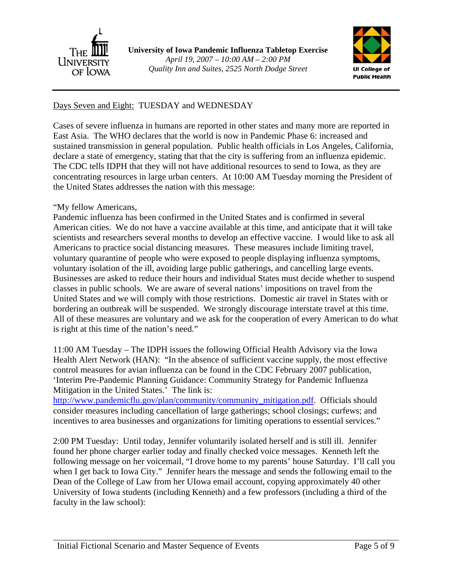



## Days Seven and Eight: TUESDAY and WEDNESDAY

Cases of severe influenza in humans are reported in other states and many more are reported in East Asia. The WHO declares that the world is now in Pandemic Phase 6: increased and sustained transmission in general population. Public health officials in Los Angeles, California, declare a state of emergency, stating that that the city is suffering from an influenza epidemic. The CDC tells IDPH that they will not have additional resources to send to Iowa, as they are concentrating resources in large urban centers. At 10:00 AM Tuesday morning the President of the United States addresses the nation with this message:

#### "My fellow Americans,

Pandemic influenza has been confirmed in the United States and is confirmed in several American cities. We do not have a vaccine available at this time, and anticipate that it will take scientists and researchers several months to develop an effective vaccine. I would like to ask all Americans to practice social distancing measures. These measures include limiting travel, voluntary quarantine of people who were exposed to people displaying influenza symptoms, voluntary isolation of the ill, avoiding large public gatherings, and cancelling large events. Businesses are asked to reduce their hours and individual States must decide whether to suspend classes in public schools. We are aware of several nations' impositions on travel from the United States and we will comply with those restrictions. Domestic air travel in States with or bordering an outbreak will be suspended. We strongly discourage interstate travel at this time. All of these measures are voluntary and we ask for the cooperation of every American to do what is right at this time of the nation's need."

11:00 AM Tuesday – The IDPH issues the following Official Health Advisory via the Iowa Health Alert Network (HAN): "In the absence of sufficient vaccine supply, the most effective control measures for avian influenza can be found in the CDC February 2007 publication, 'Interim Pre-Pandemic Planning Guidance: Community Strategy for Pandemic Influenza Mitigation in the United States.' The link is:

http://www.pandemicflu.gov/plan/community/community\_mitigation.pdf. Officials should consider measures including cancellation of large gatherings; school closings; curfews; and incentives to area businesses and organizations for limiting operations to essential services."

2:00 PM Tuesday: Until today, Jennifer voluntarily isolated herself and is still ill. Jennifer found her phone charger earlier today and finally checked voice messages. Kenneth left the following message on her voicemail, "I drove home to my parents' house Saturday. I'll call you when I get back to Iowa City." Jennifer hears the message and sends the following email to the Dean of the College of Law from her UIowa email account, copying approximately 40 other University of Iowa students (including Kenneth) and a few professors (including a third of the faculty in the law school):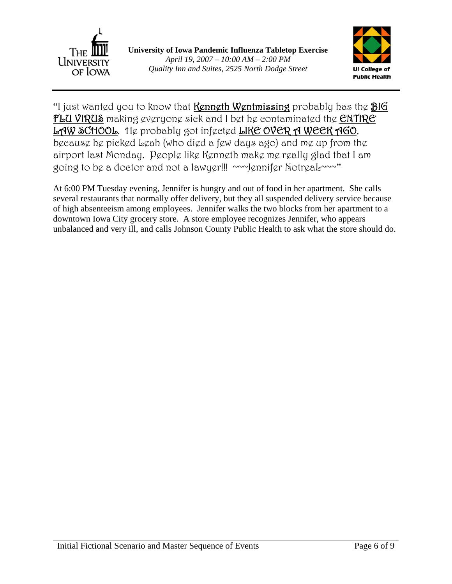



"I just wanted you to know that **Kenneth Wentmissing** probably has the **BIG** FLU VIRUS making everyone sick and I bet he contaminated the ENTIRE LAW SCHOOL. He probably got infected LIKE OVER A WEEK AGO, because he picked Leah (who died a few days ago) and me up from the airport last Monday. People like Kenneth make me really glad that I am going to be a doctor and not a lawyer!!! ~~~Jennifer NotreaL~~~"

At 6:00 PM Tuesday evening, Jennifer is hungry and out of food in her apartment. She calls several restaurants that normally offer delivery, but they all suspended delivery service because of high absenteeism among employees. Jennifer walks the two blocks from her apartment to a downtown Iowa City grocery store. A store employee recognizes Jennifer, who appears unbalanced and very ill, and calls Johnson County Public Health to ask what the store should do.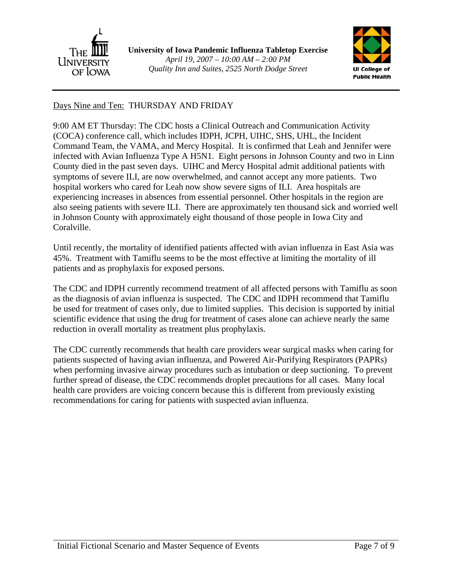

**University of Iowa Pandemic Influenza Tabletop Exercise**  *April 19, 2007 – 10:00 AM – 2:00 PM Quality Inn and Suites, 2525 North Dodge Street*



## Days Nine and Ten: THURSDAY AND FRIDAY

9:00 AM ET Thursday: The CDC hosts a Clinical Outreach and Communication Activity (COCA) conference call, which includes IDPH, JCPH, UIHC, SHS, UHL, the Incident Command Team, the VAMA, and Mercy Hospital. It is confirmed that Leah and Jennifer were infected with Avian Influenza Type A H5N1. Eight persons in Johnson County and two in Linn County died in the past seven days. UIHC and Mercy Hospital admit additional patients with symptoms of severe ILI, are now overwhelmed, and cannot accept any more patients. Two hospital workers who cared for Leah now show severe signs of ILI. Area hospitals are experiencing increases in absences from essential personnel. Other hospitals in the region are also seeing patients with severe ILI. There are approximately ten thousand sick and worried well in Johnson County with approximately eight thousand of those people in Iowa City and Coralville.

Until recently, the mortality of identified patients affected with avian influenza in East Asia was 45%. Treatment with Tamiflu seems to be the most effective at limiting the mortality of ill patients and as prophylaxis for exposed persons.

The CDC and IDPH currently recommend treatment of all affected persons with Tamiflu as soon as the diagnosis of avian influenza is suspected. The CDC and IDPH recommend that Tamiflu be used for treatment of cases only, due to limited supplies. This decision is supported by initial scientific evidence that using the drug for treatment of cases alone can achieve nearly the same reduction in overall mortality as treatment plus prophylaxis.

The CDC currently recommends that health care providers wear surgical masks when caring for patients suspected of having avian influenza, and Powered Air-Purifying Respirators (PAPRs) when performing invasive airway procedures such as intubation or deep suctioning. To prevent further spread of disease, the CDC recommends droplet precautions for all cases. Many local health care providers are voicing concern because this is different from previously existing recommendations for caring for patients with suspected avian influenza.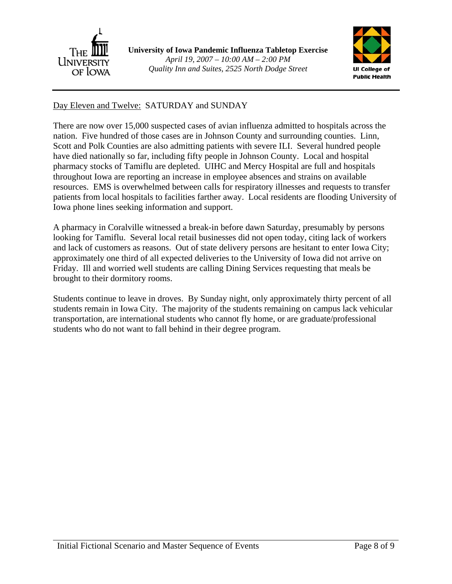

**University of Iowa Pandemic Influenza Tabletop Exercise**  *April 19, 2007 – 10:00 AM – 2:00 PM Quality Inn and Suites, 2525 North Dodge Street*



### Day Eleven and Twelve: SATURDAY and SUNDAY

There are now over 15,000 suspected cases of avian influenza admitted to hospitals across the nation. Five hundred of those cases are in Johnson County and surrounding counties. Linn, Scott and Polk Counties are also admitting patients with severe ILI. Several hundred people have died nationally so far, including fifty people in Johnson County. Local and hospital pharmacy stocks of Tamiflu are depleted. UIHC and Mercy Hospital are full and hospitals throughout Iowa are reporting an increase in employee absences and strains on available resources. EMS is overwhelmed between calls for respiratory illnesses and requests to transfer patients from local hospitals to facilities farther away. Local residents are flooding University of Iowa phone lines seeking information and support.

A pharmacy in Coralville witnessed a break-in before dawn Saturday, presumably by persons looking for Tamiflu. Several local retail businesses did not open today, citing lack of workers and lack of customers as reasons. Out of state delivery persons are hesitant to enter Iowa City; approximately one third of all expected deliveries to the University of Iowa did not arrive on Friday. Ill and worried well students are calling Dining Services requesting that meals be brought to their dormitory rooms.

Students continue to leave in droves. By Sunday night, only approximately thirty percent of all students remain in Iowa City. The majority of the students remaining on campus lack vehicular transportation, are international students who cannot fly home, or are graduate/professional students who do not want to fall behind in their degree program.